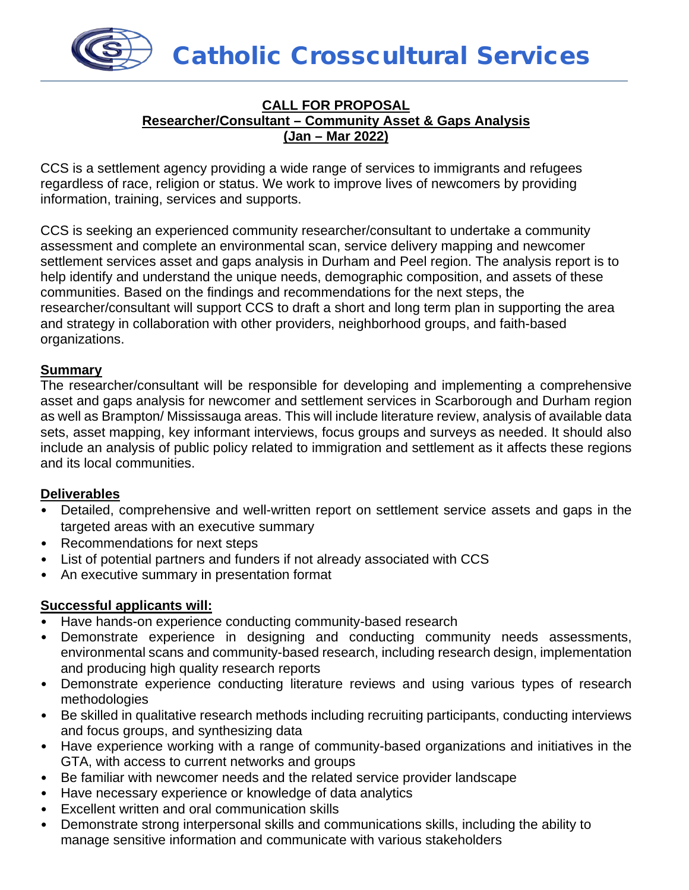Catholic Crosscultural Services



CCS is a settlement agency providing a wide range of services to immigrants and refugees regardless of race, religion or status. We work to improve lives of newcomers by providing information, training, services and supports.

CCS is seeking an experienced community researcher/consultant to undertake a community assessment and complete an environmental scan, service delivery mapping and newcomer settlement services asset and gaps analysis in Durham and Peel region. The analysis report is to help identify and understand the unique needs, demographic composition, and assets of these communities. Based on the findings and recommendations for the next steps, the researcher/consultant will support CCS to draft a short and long term plan in supporting the area and strategy in collaboration with other providers, neighborhood groups, and faith-based organizations.

### **Summary**

The researcher/consultant will be responsible for developing and implementing a comprehensive asset and gaps analysis for newcomer and settlement services in Scarborough and Durham region as well as Brampton/ Mississauga areas. This will include literature review, analysis of available data sets, asset mapping, key informant interviews, focus groups and surveys as needed. It should also include an analysis of public policy related to immigration and settlement as it affects these regions and its local communities.

### **Deliverables**

- Detailed, comprehensive and well-written report on settlement service assets and gaps in the targeted areas with an executive summary
- Recommendations for next steps
- List of potential partners and funders if not already associated with CCS
- An executive summary in presentation format

### **Successful applicants will:**

- Have hands-on experience conducting community-based research
- Demonstrate experience in designing and conducting community needs assessments, environmental scans and community-based research, including research design, implementation and producing high quality research reports
- Demonstrate experience conducting literature reviews and using various types of research methodologies
- Be skilled in qualitative research methods including recruiting participants, conducting interviews and focus groups, and synthesizing data
- Have experience working with a range of community-based organizations and initiatives in the GTA, with access to current networks and groups
- Be familiar with newcomer needs and the related service provider landscape
- Have necessary experience or knowledge of data analytics
- Excellent written and oral communication skills
- Demonstrate strong interpersonal skills and communications skills, including the ability to manage sensitive information and communicate with various stakeholders